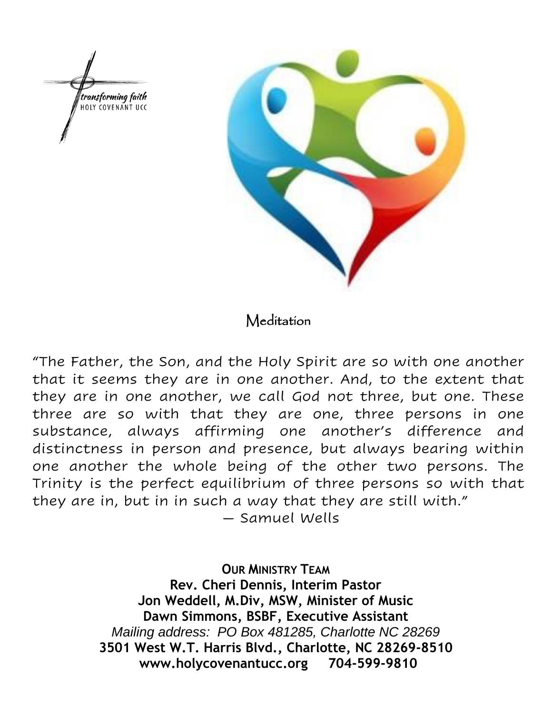



# Meditation

"The Father, the Son, and the Holy Spirit are so with one another that it seems they are in one another. And, to the extent that they are in one another, we call God not three, but one. These three are so with that they are one, three persons in one substance, always affirming one another's difference and distinctness in person and presence, but always bearing within one another the whole being of the other two persons. The Trinity is the perfect equilibrium of three persons so with that they are in, but in in such a way that they are still with."

— Samuel Wells

**OUR MINISTRY TEAM Rev. Cheri Dennis, Interim Pastor Jon Weddell, M.Div, MSW, Minister of Music Dawn Simmons, BSBF, Executive Assistant** *Mailing address: PO Box 481285, Charlotte NC 28269* **3501 West W.T. Harris Blvd., Charlotte, NC 28269-8510 www.holycovenantucc.org 704-599-9810**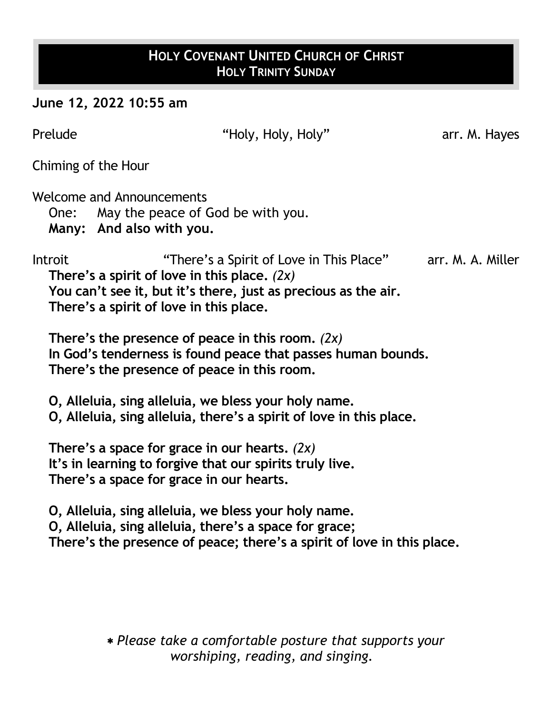# **HOLY COVENANT UNITED CHURCH OF CHRIST HOLY TRINITY SUNDAY**

**June 12, 2022 10:55 am**

| Prelude        | "Holy, Holy, Holy"                                                                                                                                                                                                                                                                                                                                                                                                                                                                                          | arr. M. Hayes     |
|----------------|-------------------------------------------------------------------------------------------------------------------------------------------------------------------------------------------------------------------------------------------------------------------------------------------------------------------------------------------------------------------------------------------------------------------------------------------------------------------------------------------------------------|-------------------|
|                | Chiming of the Hour                                                                                                                                                                                                                                                                                                                                                                                                                                                                                         |                   |
|                | Welcome and Announcements<br>One: May the peace of God be with you.<br>Many: And also with you.                                                                                                                                                                                                                                                                                                                                                                                                             |                   |
| <b>Introit</b> | "There's a Spirit of Love in This Place"<br>There's a spirit of love in this place. $(2x)$<br>You can't see it, but it's there, just as precious as the air.<br>There's a spirit of love in this place.<br>There's the presence of peace in this room. $(2x)$<br>In God's tenderness is found peace that passes human bounds.<br>There's the presence of peace in this room.<br>O, Alleluia, sing alleluia, we bless your holy name.<br>O, Alleluia, sing alleluia, there's a spirit of love in this place. | arr. M. A. Miller |
|                | There's a space for grace in our hearts. $(2x)$<br>It's in learning to forgive that our spirits truly live.<br>There's a space for grace in our hearts.<br>O, Alleluia, sing alleluia, we bless your holy name.<br>O, Alleluia, sing alleluia, there's a space for grace;<br>There's the presence of peace; there's a spirit of love in this place.                                                                                                                                                         |                   |
|                |                                                                                                                                                                                                                                                                                                                                                                                                                                                                                                             |                   |

 *Please take a comfortable posture that supports your worshiping, reading, and singing.*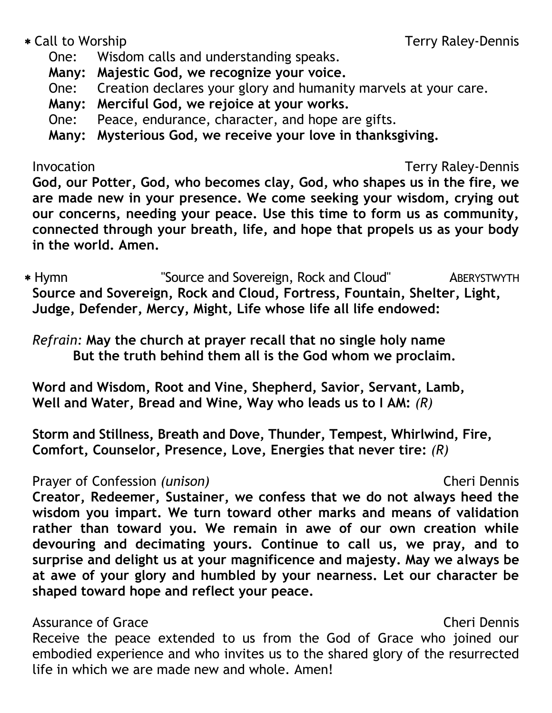One: Wisdom calls and understanding speaks.

**Many: Majestic God, we recognize your voice.**

One: Creation declares your glory and humanity marvels at your care.

**Many: Merciful God, we rejoice at your works.**

One: Peace, endurance, character, and hope are gifts.

**Many: Mysterious God, we receive your love in thanksgiving.**

Invocation Terry Raley-Dennis

**God, our Potter, God, who becomes clay, God, who shapes us in the fire, we are made new in your presence. We come seeking your wisdom, crying out our concerns, needing your peace. Use this time to form us as community, connected through your breath, life, and hope that propels us as your body in the world. Amen.**

 Hymn "Source and Sovereign, Rock and Cloud" ABERYSTWYTH **Source and Sovereign, Rock and Cloud, Fortress, Fountain, Shelter, Light, Judge, Defender, Mercy, Might, Life whose life all life endowed:**

*Refrain:* **May the church at prayer recall that no single holy name But the truth behind them all is the God whom we proclaim.**

**Word and Wisdom, Root and Vine, Shepherd, Savior, Servant, Lamb, Well and Water, Bread and Wine, Way who leads us to I AM:** *(R)*

**Storm and Stillness, Breath and Dove, Thunder, Tempest, Whirlwind, Fire, Comfort, Counselor, Presence, Love, Energies that never tire:** *(R)*

# Prayer of Confession *(unison)* Cheri Dennis

**Creator, Redeemer, Sustainer, we confess that we do not always heed the wisdom you impart. We turn toward other marks and means of validation rather than toward you. We remain in awe of our own creation while devouring and decimating yours. Continue to call us, we pray, and to surprise and delight us at your magnificence and majesty. May we always be at awe of your glory and humbled by your nearness. Let our character be shaped toward hope and reflect your peace.**

# Assurance of Grace **Cheri Dennis** Assurance of Grace

Receive the peace extended to us from the God of Grace who joined our embodied experience and who invites us to the shared glory of the resurrected life in which we are made new and whole. Amen!

# \* Call to Worship Terry Raley-Dennis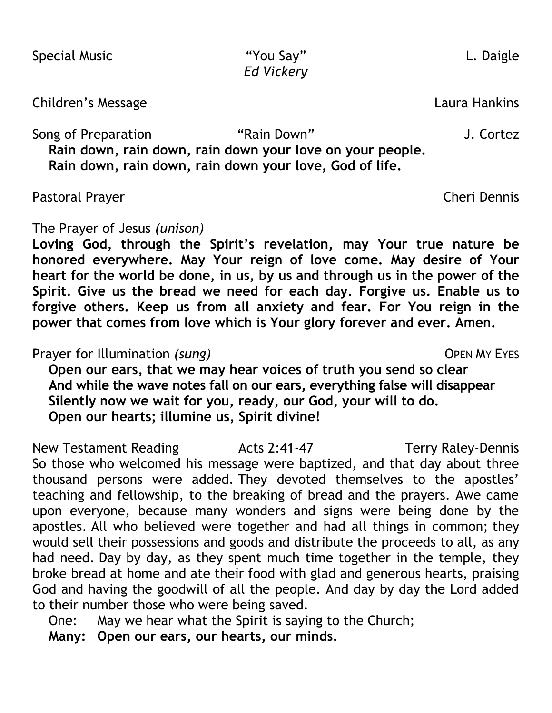Children's Message Laura Hankins

Song of Preparation **The "Rain Down"** Song of Preparation **The Song of Preparation Rain down, rain down, rain down your love on your people. Rain down, rain down, rain down your love, God of life.**

Pastoral Prayer Cheri Dennis

The Prayer of Jesus *(unison)*

**Loving God, through the Spirit's revelation, may Your true nature be honored everywhere. May Your reign of love come. May desire of Your heart for the world be done, in us, by us and through us in the power of the Spirit. Give us the bread we need for each day. Forgive us. Enable us to forgive others. Keep us from all anxiety and fear. For You reign in the power that comes from love which is Your glory forever and ever. Amen.**

Prayer for Illumination *(sung)* The Contract of Contract Contract OPEN MY EYES

**Open our ears, that we may hear voices of truth you send so clear And while the wave notes fall on our ears, everything false will disappear Silently now we wait for you, ready, our God, your will to do. Open our hearts; illumine us, Spirit divine!**

New Testament Reading Terry Raley-Dennis So those who welcomed his message were baptized, and that day about three thousand persons were added. They devoted themselves to the apostles' teaching and fellowship, to the breaking of bread and the prayers. Awe came upon everyone, because many wonders and signs were being done by the apostles. All who believed were together and had all things in common; they would sell their possessions and goods and distribute the proceeds to all, as any had need. Day by day, as they spent much time together in the temple, they broke bread at home and ate their food with glad and generous hearts, praising God and having the goodwill of all the people. And day by day the Lord added to their number those who were being saved.

One: May we hear what the Spirit is saying to the Church;

**Many: Open our ears, our hearts, our minds.**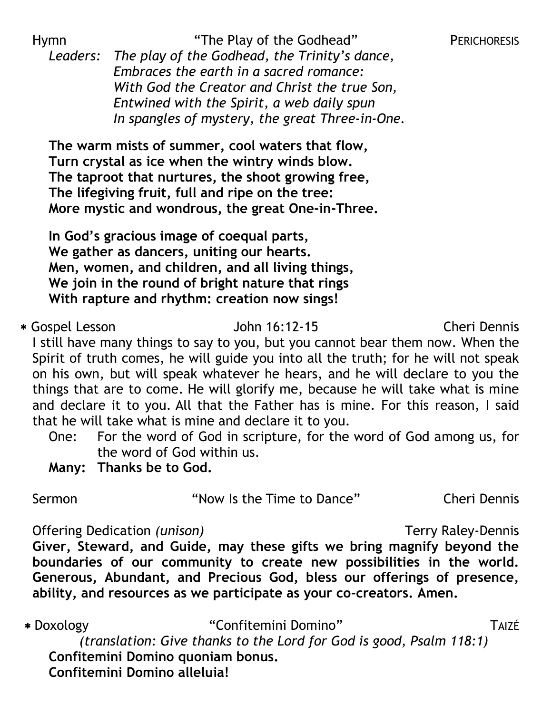Hymn **The Play of the Godhead"** PERICHORESIS

*Leaders: The play of the Godhead, the Trinity's dance, Embraces the earth in a sacred romance: With God the Creator and Christ the true Son, Entwined with the Spirit, a web daily spun In spangles of mystery, the great Three-in-One.*

**The warm mists of summer, cool waters that flow, Turn crystal as ice when the wintry winds blow. The taproot that nurtures, the shoot growing free, The lifegiving fruit, full and ripe on the tree: More mystic and wondrous, the great One-in-Three.**

**In God's gracious image of coequal parts, We gather as dancers, uniting our hearts. Men, women, and children, and all living things, We join in the round of bright nature that rings With rapture and rhythm: creation now sings!**

 Gospel Lesson John 16:12-15 Cheri Dennis I still have many things to say to you, but you cannot bear them now. When the Spirit of truth comes, he will guide you into all the truth; for he will not speak on his own, but will speak whatever he hears, and he will declare to you the things that are to come. He will glorify me, because he will take what is mine and declare it to you. All that the Father has is mine. For this reason, I said that he will take what is mine and declare it to you.

- One: For the word of God in scripture, for the word of God among us, for the word of God within us.
- **Many: Thanks be to God.**

Sermon **The Sermon Cheri Cheri Cheri Cheri Cheri Cheri Dennis** 

Offering Dedication *(unison)* Terry Raley-Dennis **Giver, Steward, and Guide, may these gifts we bring magnify beyond the boundaries of our community to create new possibilities in the world. Generous, Abundant, and Precious God, bless our offerings of presence, ability, and resources as we participate as your co-creators. Amen.**

 Doxology "Confitemini Domino" TAIZÉ *(translation: Give thanks to the Lord for God is good, Psalm 118:1)* **Confitemini Domino quoniam bonus. Confitemini Domino alleluia!**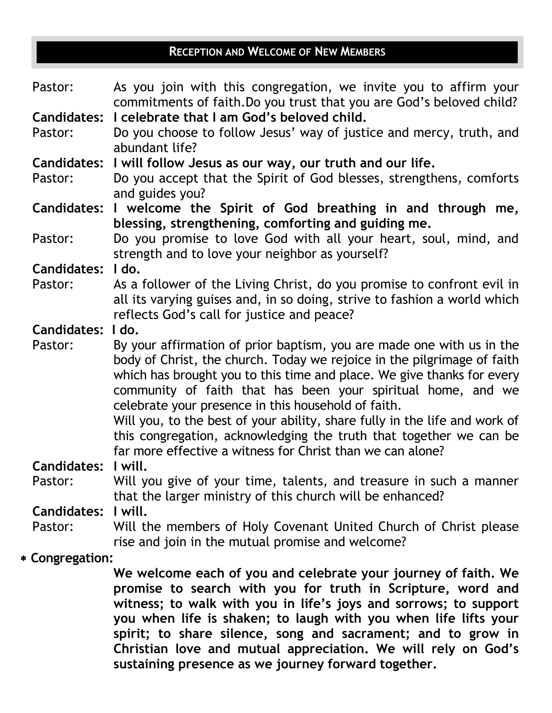# **RECEPTION AND WELCOME OF NEW MEMBERS**

| Pastor:            | As you join with this congregation, we invite you to affirm your                                                    |
|--------------------|---------------------------------------------------------------------------------------------------------------------|
| <b>Candidates:</b> | commitments of faith. Do you trust that you are God's beloved child?<br>I celebrate that I am God's beloved child.  |
|                    |                                                                                                                     |
| Pastor:            | Do you choose to follow Jesus' way of justice and mercy, truth, and<br>abundant life?                               |
| <b>Candidates:</b> | I will follow Jesus as our way, our truth and our life.                                                             |
| Pastor:            | Do you accept that the Spirit of God blesses, strengthens, comforts<br>and guides you?                              |
| <b>Candidates:</b> | I welcome the Spirit of God breathing in and through me,                                                            |
|                    | blessing, strengthening, comforting and guiding me.                                                                 |
| Pastor:            | Do you promise to love God with all your heart, soul, mind, and                                                     |
|                    | strength and to love your neighbor as yourself?                                                                     |
| <b>Candidates:</b> | I do.                                                                                                               |
| Pastor:            | As a follower of the Living Christ, do you promise to confront evil in                                              |
|                    | all its varying guises and, in so doing, strive to fashion a world which                                            |
|                    | reflects God's call for justice and peace?                                                                          |
| Candidates: I do.  |                                                                                                                     |
|                    | By your affirmation of prior baptism, you are made one with us in the                                               |
|                    |                                                                                                                     |
| Pastor:            |                                                                                                                     |
|                    | body of Christ, the church. Today we rejoice in the pilgrimage of faith                                             |
|                    | which has brought you to this time and place. We give thanks for every                                              |
|                    | community of faith that has been your spiritual home, and we<br>celebrate your presence in this household of faith. |
|                    | Will you, to the best of your ability, share fully in the life and work of                                          |
|                    | this congregation, acknowledging the truth that together we can be                                                  |
|                    | far more effective a witness for Christ than we can alone?                                                          |
| <b>Candidates:</b> | I will.                                                                                                             |
| Pastor:            | Will you give of your time, talents, and treasure in such a manner                                                  |
|                    | that the larger ministry of this church will be enhanced?                                                           |
| <b>Candidates:</b> | I will.                                                                                                             |
| Pastor:            | Will the members of Holy Covenant United Church of Christ please                                                    |
|                    | rise and join in the mutual promise and welcome?                                                                    |

 **We welcome each of you and celebrate your journey of faith. We promise to search with you for truth in Scripture, word and witness; to walk with you in life's joys and sorrows; to support you when life is shaken; to laugh with you when life lifts your spirit; to share silence, song and sacrament; and to grow in Christian love and mutual appreciation. We will rely on God's sustaining presence as we journey forward together.**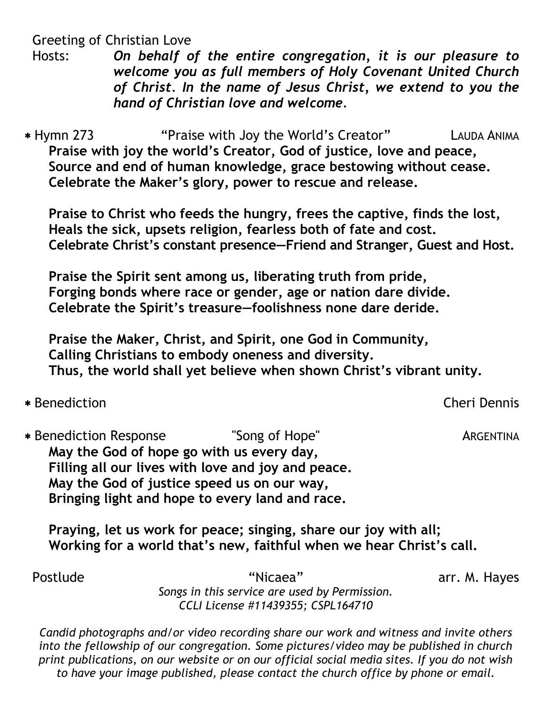Greeting of Christian Love

Hosts: *On behalf of the entire congregation, it is our pleasure to welcome you as full members of Holy Covenant United Church of Christ. In the name of Jesus Christ, we extend to you the hand of Christian love and welcome.*

 Hymn 273 "Praise with Joy the World's Creator" LAUDA ANIMA **Praise with joy the world's Creator, God of justice, love and peace, Source and end of human knowledge, grace bestowing without cease. Celebrate the Maker's glory, power to rescue and release.**

**Praise to Christ who feeds the hungry, frees the captive, finds the lost, Heals the sick, upsets religion, fearless both of fate and cost. Celebrate Christ's constant presence—Friend and Stranger, Guest and Host.**

**Praise the Spirit sent among us, liberating truth from pride, Forging bonds where race or gender, age or nation dare divide. Celebrate the Spirit's treasure—foolishness none dare deride.**

**Praise the Maker, Christ, and Spirit, one God in Community, Calling Christians to embody oneness and diversity. Thus, the world shall yet believe when shown Christ's vibrant unity.**

Benediction Cheri Dennis

\* Benediction Response "Song of Hope" ARGENTINA **May the God of hope go with us every day, Filling all our lives with love and joy and peace. May the God of justice speed us on our way, Bringing light and hope to every land and race.**

**Praying, let us work for peace; singing, share our joy with all; Working for a world that's new, faithful when we hear Christ's call.**

Postlude "Nicaea" **arr. M. Hayes** 

*Songs in this service are used by Permission. CCLI License #11439355; CSPL164710*

*Candid photographs and/or video recording share our work and witness and invite others into the fellowship of our congregation. Some pictures/video may be published in church print publications, on our website or on our official social media sites. If you do not wish to have your image published, please contact the church office by phone or email.*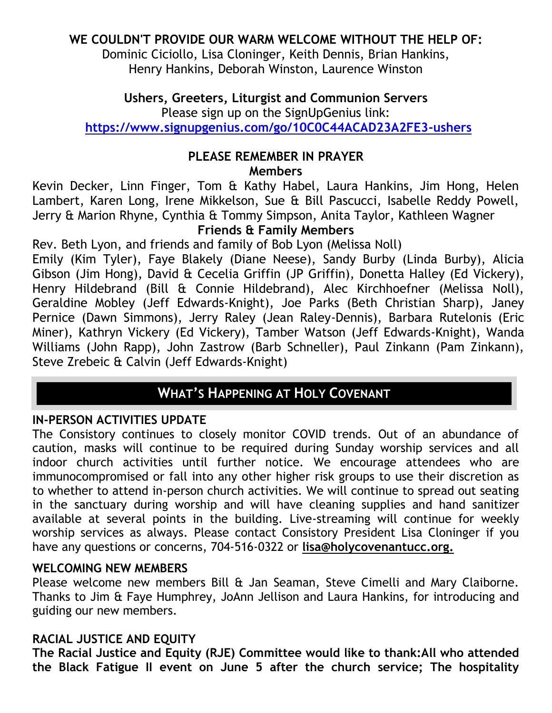# **WE COULDN'T PROVIDE OUR WARM WELCOME WITHOUT THE HELP OF:**

Dominic Ciciollo, Lisa Cloninger, Keith Dennis, Brian Hankins, Henry Hankins, Deborah Winston, Laurence Winston

# **Ushers, Greeters, Liturgist and Communion Servers**

Please sign up on the SignUpGenius link:

**[https://www.signupgenius.com/go/10C0C44ACAD23A2FE3-ushers](https://r20.rs6.net/tn.jsp?f=001KRg6On04gjlLyktGwjKgNKfzFLQ-Um6NbG2lztA_f-oB_Ohy2KXgrjCGYNP3zoGPwpUwpW76E7C-XeXYNmP-iiO2w4RMtkV4kPs0EdjYN7MK_aj8ZdeYc6Qpavy_ybMuo20ccKgKP8hBZl8fMv58G29YP667-9hGWFrtDltIDuL5bWbp_4-ML49asN5whiAO&c=Zu3HjXli5oG1mucDNs2-QyIoLpesAu_QuUZCfVVIzn6o7dxJM2iC5Q==&ch=Q_K8Ck0f2UgLK2qW-C4om2neX2s4XTjxjYpHobQBA3QOU03sR-8ZJg==)**

#### **PLEASE REMEMBER IN PRAYER Members**

Kevin Decker, Linn Finger, Tom & Kathy Habel, Laura Hankins, Jim Hong, Helen Lambert, Karen Long, Irene Mikkelson, Sue & Bill Pascucci, Isabelle Reddy Powell, Jerry & Marion Rhyne, Cynthia & Tommy Simpson, Anita Taylor, Kathleen Wagner

## **Friends & Family Members**

Rev. Beth Lyon, and friends and family of Bob Lyon (Melissa Noll)

Emily (Kim Tyler), Faye Blakely (Diane Neese), Sandy Burby (Linda Burby), Alicia Gibson (Jim Hong), David & Cecelia Griffin (JP Griffin), Donetta Halley (Ed Vickery), Henry Hildebrand (Bill & Connie Hildebrand), Alec Kirchhoefner (Melissa Noll), Geraldine Mobley (Jeff Edwards-Knight), Joe Parks (Beth Christian Sharp), Janey Pernice (Dawn Simmons), Jerry Raley (Jean Raley-Dennis), Barbara Rutelonis (Eric Miner), Kathryn Vickery (Ed Vickery), Tamber Watson (Jeff Edwards-Knight), Wanda Williams (John Rapp), John Zastrow (Barb Schneller), Paul Zinkann (Pam Zinkann), Steve Zrebeic & Calvin (Jeff Edwards-Knight)

# **WHAT'S HAPPENING AT HOLY COVENANT**

# **IN-PERSON ACTIVITIES UPDATE**

The Consistory continues to closely monitor COVID trends. Out of an abundance of caution, masks will continue to be required during Sunday worship services and all indoor church activities until further notice. We encourage attendees who are immunocompromised or fall into any other higher risk groups to use their discretion as to whether to attend in-person church activities. We will continue to spread out seating in the sanctuary during worship and will have cleaning supplies and hand sanitizer available at several points in the building. Live-streaming will continue for weekly worship services as always. Please contact Consistory President Lisa Cloninger if you have any questions or concerns, 704-516-0322 or **[lisa@holycovenantucc.org.](mailto:lisa@holycovenantucc.org)** 

### **WELCOMING NEW MEMBERS**

Please welcome new members Bill & Jan Seaman, Steve Cimelli and Mary Claiborne. Thanks to Jim & Faye Humphrey, JoAnn Jellison and Laura Hankins, for introducing and guiding our new members.

# **RACIAL JUSTICE AND EQUITY**

**The Racial Justice and Equity (RJE) Committee would like to thank:All who attended the Black Fatigue II event on June 5 after the church service; The hospitality**